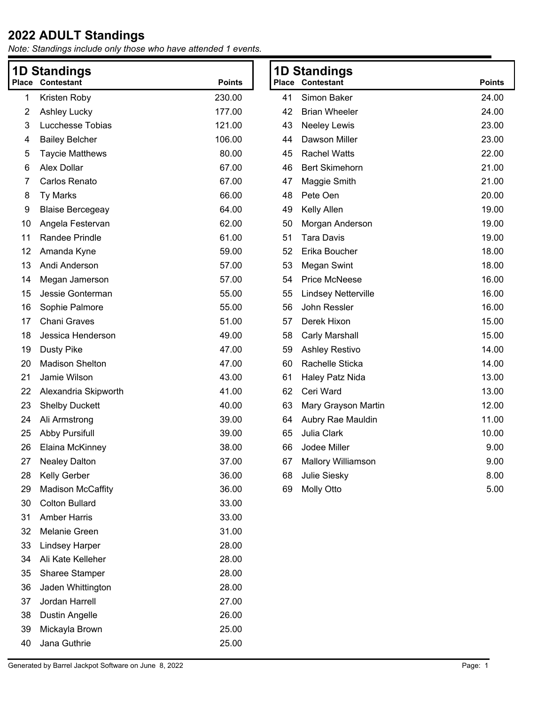| 1D Standings<br>Place<br><b>Contestant</b><br><b>Points</b> |                                         | Place            | <b>1D Standings</b><br>Contestant | <b>Points</b>                        |                |
|-------------------------------------------------------------|-----------------------------------------|------------------|-----------------------------------|--------------------------------------|----------------|
|                                                             |                                         |                  |                                   |                                      |                |
| 1                                                           | Kristen Roby                            | 230.00<br>177.00 | 41                                | Simon Baker<br><b>Brian Wheeler</b>  | 24.00<br>24.00 |
| 2                                                           | <b>Ashley Lucky</b><br>Lucchesse Tobias | 121.00           | 42<br>43                          |                                      | 23.00          |
| 3<br>4                                                      | <b>Bailey Belcher</b>                   | 106.00           | 44                                | <b>Neeley Lewis</b><br>Dawson Miller | 23.00          |
| 5                                                           | <b>Taycie Matthews</b>                  | 80.00            | 45                                | <b>Rachel Watts</b>                  | 22.00          |
| 6                                                           | Alex Dollar                             | 67.00            | 46                                | <b>Bert Skimehorn</b>                | 21.00          |
| 7                                                           | Carlos Renato                           | 67.00            | 47                                | Maggie Smith                         | 21.00          |
| 8                                                           | <b>Ty Marks</b>                         | 66.00            | 48                                | Pete Oen                             | 20.00          |
| 9                                                           | <b>Blaise Bercegeay</b>                 | 64.00            | 49                                | Kelly Allen                          | 19.00          |
| 10                                                          | Angela Festervan                        | 62.00            | 50                                | Morgan Anderson                      | 19.00          |
| 11                                                          | Randee Prindle                          | 61.00            | 51                                | <b>Tara Davis</b>                    | 19.00          |
| 12                                                          | Amanda Kyne                             | 59.00            | 52                                | Erika Boucher                        | 18.00          |
| 13                                                          | Andi Anderson                           | 57.00            | 53                                | <b>Megan Swint</b>                   | 18.00          |
| 14                                                          | Megan Jamerson                          | 57.00            | 54                                | <b>Price McNeese</b>                 | 16.00          |
| 15                                                          | Jessie Gonterman                        | 55.00            | 55                                | <b>Lindsey Netterville</b>           | 16.00          |
| 16                                                          | Sophie Palmore                          | 55.00            | 56                                | John Ressler                         | 16.00          |
| 17                                                          | Chani Graves                            | 51.00            | 57                                | Derek Hixon                          | 15.00          |
| 18                                                          | Jessica Henderson                       | 49.00            | 58                                | <b>Carly Marshall</b>                | 15.00          |
| 19                                                          | <b>Dusty Pike</b>                       | 47.00            | 59                                | Ashley Restivo                       | 14.00          |
| 20                                                          | <b>Madison Shelton</b>                  | 47.00            | 60                                | Rachelle Sticka                      | 14.00          |
| 21                                                          | Jamie Wilson                            | 43.00            | 61                                | Haley Patz Nida                      | 13.00          |
| 22                                                          | Alexandria Skipworth                    | 41.00            | 62                                | Ceri Ward                            | 13.00          |
| 23                                                          | <b>Shelby Duckett</b>                   | 40.00            | 63                                | Mary Grayson Martin                  | 12.00          |
| 24                                                          | Ali Armstrong                           | 39.00            | 64                                | Aubry Rae Mauldin                    | 11.00          |
| 25                                                          | <b>Abby Pursifull</b>                   | 39.00            | 65                                | Julia Clark                          | 10.00          |
| 26                                                          | Elaina McKinney                         | 38.00            | 66                                | Jodee Miller                         | 9.00           |
| 27                                                          | <b>Nealey Dalton</b>                    | 37.00            | 67                                | Mallory Williamson                   | 9.00           |
| 28                                                          | Kelly Gerber                            | 36.00            | 68                                | Julie Siesky                         | 8.00           |
| 29                                                          | <b>Madison McCaffity</b>                | 36.00            | 69                                | Molly Otto                           | 5.00           |
| 30                                                          | <b>Colton Bullard</b>                   | 33.00            |                                   |                                      |                |
| 31                                                          | <b>Amber Harris</b>                     | 33.00            |                                   |                                      |                |
| 32                                                          | Melanie Green                           | 31.00            |                                   |                                      |                |
| 33                                                          | <b>Lindsey Harper</b>                   | 28.00            |                                   |                                      |                |
| 34                                                          | Ali Kate Kelleher                       | 28.00            |                                   |                                      |                |
| 35                                                          | Sharee Stamper                          | 28.00            |                                   |                                      |                |
| 36                                                          | Jaden Whittington                       | 28.00            |                                   |                                      |                |
| 37                                                          | Jordan Harrell                          | 27.00            |                                   |                                      |                |
| 38                                                          | <b>Dustin Angelle</b>                   | 26.00            |                                   |                                      |                |
| 39                                                          | Mickayla Brown                          | 25.00            |                                   |                                      |                |
| 40                                                          | Jana Guthrie                            | 25.00            |                                   |                                      |                |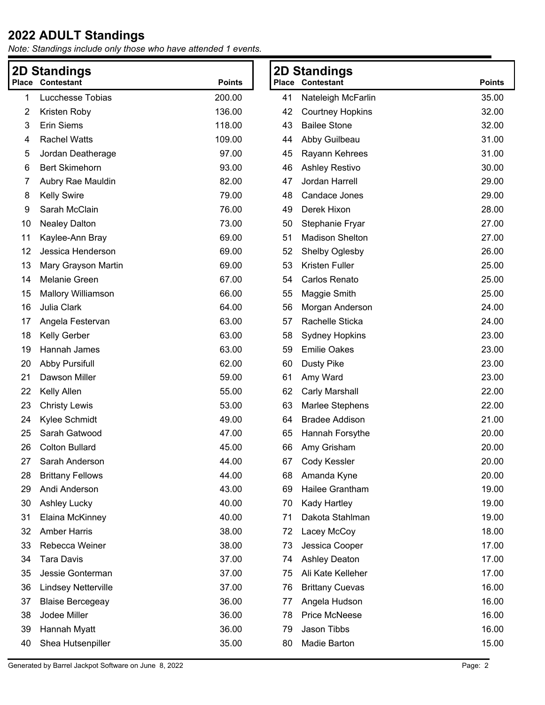|    | <b>2D Standings</b>        |               |    | <b>2D Standings</b>     |               |
|----|----------------------------|---------------|----|-------------------------|---------------|
|    | <b>Place Contestant</b>    | <b>Points</b> |    | <b>Place Contestant</b> | <b>Points</b> |
| 1  | Lucchesse Tobias           | 200.00        | 41 | Nateleigh McFarlin      | 35.00         |
| 2  | Kristen Roby               | 136.00        | 42 | <b>Courtney Hopkins</b> | 32.00         |
| 3  | <b>Erin Siems</b>          | 118.00        | 43 | <b>Bailee Stone</b>     | 32.00         |
| 4  | <b>Rachel Watts</b>        | 109.00        | 44 | Abby Guilbeau           | 31.00         |
| 5  | Jordan Deatherage          | 97.00         | 45 | Rayann Kehrees          | 31.00         |
| 6  | <b>Bert Skimehorn</b>      | 93.00         | 46 | Ashley Restivo          | 30.00         |
| 7  | Aubry Rae Mauldin          | 82.00         | 47 | Jordan Harrell          | 29.00         |
| 8  | <b>Kelly Swire</b>         | 79.00         | 48 | Candace Jones           | 29.00         |
| 9  | Sarah McClain              | 76.00         | 49 | Derek Hixon             | 28.00         |
| 10 | <b>Nealey Dalton</b>       | 73.00         | 50 | Stephanie Fryar         | 27.00         |
| 11 | Kaylee-Ann Bray            | 69.00         | 51 | <b>Madison Shelton</b>  | 27.00         |
| 12 | Jessica Henderson          | 69.00         | 52 | Shelby Oglesby          | 26.00         |
| 13 | Mary Grayson Martin        | 69.00         | 53 | Kristen Fuller          | 25.00         |
| 14 | Melanie Green              | 67.00         | 54 | Carlos Renato           | 25.00         |
| 15 | <b>Mallory Williamson</b>  | 66.00         | 55 | Maggie Smith            | 25.00         |
| 16 | Julia Clark                | 64.00         | 56 | Morgan Anderson         | 24.00         |
| 17 | Angela Festervan           | 63.00         | 57 | Rachelle Sticka         | 24.00         |
| 18 | Kelly Gerber               | 63.00         | 58 | <b>Sydney Hopkins</b>   | 23.00         |
| 19 | Hannah James               | 63.00         | 59 | <b>Emilie Oakes</b>     | 23.00         |
| 20 | <b>Abby Pursifull</b>      | 62.00         | 60 | <b>Dusty Pike</b>       | 23.00         |
| 21 | Dawson Miller              | 59.00         | 61 | Amy Ward                | 23.00         |
| 22 | Kelly Allen                | 55.00         | 62 | Carly Marshall          | 22.00         |
| 23 | <b>Christy Lewis</b>       | 53.00         | 63 | <b>Marlee Stephens</b>  | 22.00         |
| 24 | Kylee Schmidt              | 49.00         | 64 | <b>Bradee Addison</b>   | 21.00         |
| 25 | Sarah Gatwood              | 47.00         | 65 | Hannah Forsythe         | 20.00         |
| 26 | <b>Colton Bullard</b>      | 45.00         | 66 | Amy Grisham             | 20.00         |
| 27 | Sarah Anderson             | 44.00         | 67 | Cody Kessler            | 20.00         |
| 28 | <b>Brittany Fellows</b>    | 44.00         | 68 | Amanda Kyne             | 20.00         |
| 29 | Andi Anderson              | 43.00         | 69 | Hailee Grantham         | 19.00         |
| 30 | Ashley Lucky               | 40.00         | 70 | Kady Hartley            | 19.00         |
| 31 | Elaina McKinney            | 40.00         | 71 | Dakota Stahlman         | 19.00         |
| 32 | <b>Amber Harris</b>        | 38.00         | 72 | Lacey McCoy             | 18.00         |
| 33 | Rebecca Weiner             | 38.00         | 73 | Jessica Cooper          | 17.00         |
| 34 | <b>Tara Davis</b>          | 37.00         | 74 | <b>Ashley Deaton</b>    | 17.00         |
| 35 | Jessie Gonterman           | 37.00         | 75 | Ali Kate Kelleher       | 17.00         |
| 36 | <b>Lindsey Netterville</b> | 37.00         | 76 | <b>Brittany Cuevas</b>  | 16.00         |
| 37 | <b>Blaise Bercegeay</b>    | 36.00         | 77 | Angela Hudson           | 16.00         |
| 38 | Jodee Miller               | 36.00         | 78 | <b>Price McNeese</b>    | 16.00         |
| 39 | Hannah Myatt               | 36.00         | 79 | Jason Tibbs             | 16.00         |
| 40 | Shea Hutsenpiller          | 35.00         | 80 | Madie Barton            | 15.00         |
|    |                            |               |    |                         |               |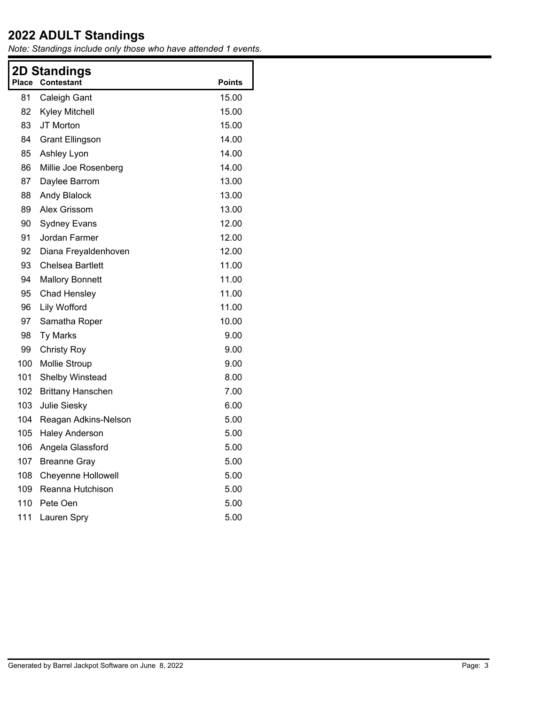| <b>Place</b> | <b>2D Standings</b><br><b>Contestant</b> | <b>Points</b> |
|--------------|------------------------------------------|---------------|
| 81           | Caleigh Gant                             | 15.00         |
| 82           | <b>Kyley Mitchell</b>                    | 15.00         |
| 83           | JT Morton                                | 15.00         |
| 84           | <b>Grant Ellingson</b>                   | 14.00         |
| 85           | Ashley Lyon                              | 14.00         |
| 86           | Millie Joe Rosenberg                     | 14.00         |
| 87           | Daylee Barrom                            | 13.00         |
| 88           | <b>Andy Blalock</b>                      | 13.00         |
| 89           | Alex Grissom                             | 13.00         |
| 90           | <b>Sydney Evans</b>                      | 12.00         |
| 91           | Jordan Farmer                            | 12.00         |
| 92           | Diana Freyaldenhoven                     | 12.00         |
| 93           | <b>Chelsea Bartlett</b>                  | 11.00         |
| 94           | <b>Mallory Bonnett</b>                   | 11.00         |
| 95           | Chad Hensley                             | 11.00         |
| 96           | Lily Wofford                             | 11.00         |
| 97           | Samatha Roper                            | 10.00         |
| 98           | <b>Ty Marks</b>                          | 9.00          |
| 99           | <b>Christy Roy</b>                       | 9.00          |
| 100          | <b>Mollie Stroup</b>                     | 9.00          |
| 101          | Shelby Winstead                          | 8.00          |
| 102          | <b>Brittany Hanschen</b>                 | 7.00          |
| 103          | Julie Siesky                             | 6.00          |
| 104          | Reagan Adkins-Nelson                     | 5.00          |
| 105          | <b>Haley Anderson</b>                    | 5.00          |
| 106          | Angela Glassford                         | 5.00          |
| 107          | <b>Breanne Gray</b>                      | 5.00          |
| 108          | <b>Cheyenne Hollowell</b>                | 5.00          |
| 109          | Reanna Hutchison                         | 5.00          |
| 110          | Pete Oen                                 | 5.00          |
| 111          | Lauren Spry                              | 5.00          |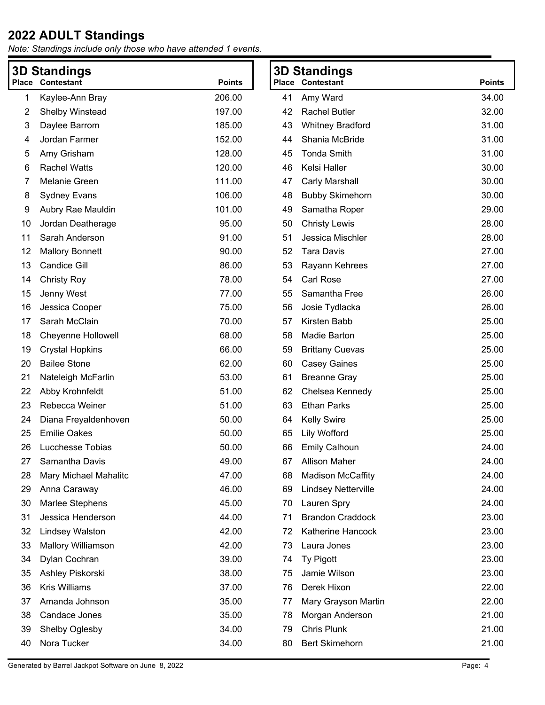| <b>3D Standings</b> |                           |               | <b>3D Standings</b> |                            |               |
|---------------------|---------------------------|---------------|---------------------|----------------------------|---------------|
| Place               | Contestant                | <b>Points</b> |                     | <b>Place Contestant</b>    | <b>Points</b> |
| 1                   | Kaylee-Ann Bray           | 206.00        | 41                  | Amy Ward                   | 34.00         |
| 2                   | Shelby Winstead           | 197.00        | 42                  | <b>Rachel Butler</b>       | 32.00         |
| 3                   | Daylee Barrom             | 185.00        | 43                  | <b>Whitney Bradford</b>    | 31.00         |
| 4                   | Jordan Farmer             | 152.00        | 44                  | Shania McBride             | 31.00         |
| 5                   | Amy Grisham               | 128.00        | 45                  | <b>Tonda Smith</b>         | 31.00         |
| 6                   | <b>Rachel Watts</b>       | 120.00        | 46                  | Kelsi Haller               | 30.00         |
| 7                   | Melanie Green             | 111.00        | 47                  | Carly Marshall             | 30.00         |
| 8                   | <b>Sydney Evans</b>       | 106.00        | 48                  | <b>Bubby Skimehorn</b>     | 30.00         |
| 9                   | Aubry Rae Mauldin         | 101.00        | 49                  | Samatha Roper              | 29.00         |
| 10                  | Jordan Deatherage         | 95.00         | 50                  | <b>Christy Lewis</b>       | 28.00         |
| 11                  | Sarah Anderson            | 91.00         | 51                  | Jessica Mischler           | 28.00         |
| 12                  | <b>Mallory Bonnett</b>    | 90.00         | 52                  | <b>Tara Davis</b>          | 27.00         |
| 13                  | <b>Candice Gill</b>       | 86.00         | 53                  | Rayann Kehrees             | 27.00         |
| 14                  | <b>Christy Roy</b>        | 78.00         | 54                  | <b>Carl Rose</b>           | 27.00         |
| 15                  | Jenny West                | 77.00         | 55                  | Samantha Free              | 26.00         |
| 16                  | Jessica Cooper            | 75.00         | 56                  | Josie Tydlacka             | 26.00         |
| 17                  | Sarah McClain             | 70.00         | 57                  | Kirsten Babb               | 25.00         |
| 18                  | <b>Cheyenne Hollowell</b> | 68.00         | 58                  | Madie Barton               | 25.00         |
| 19                  | <b>Crystal Hopkins</b>    | 66.00         | 59                  | <b>Brittany Cuevas</b>     | 25.00         |
| 20                  | <b>Bailee Stone</b>       | 62.00         | 60                  | <b>Casey Gaines</b>        | 25.00         |
| 21                  | Nateleigh McFarlin        | 53.00         | 61                  | <b>Breanne Gray</b>        | 25.00         |
| 22                  | Abby Krohnfeldt           | 51.00         | 62                  | Chelsea Kennedy            | 25.00         |
| 23                  | Rebecca Weiner            | 51.00         | 63                  | <b>Ethan Parks</b>         | 25.00         |
| 24                  | Diana Freyaldenhoven      | 50.00         | 64                  | <b>Kelly Swire</b>         | 25.00         |
| 25                  | <b>Emilie Oakes</b>       | 50.00         | 65                  | <b>Lily Wofford</b>        | 25.00         |
| 26                  | Lucchesse Tobias          | 50.00         | 66                  | <b>Emily Calhoun</b>       | 24.00         |
| 27                  | Samantha Davis            | 49.00         | 67                  | <b>Allison Maher</b>       | 24.00         |
| 28                  | Mary Michael Mahalitc     | 47.00         | 68                  | <b>Madison McCaffity</b>   | 24.00         |
| 29                  | Anna Caraway              | 46.00         | 69                  | <b>Lindsey Netterville</b> | 24.00         |
| 30                  | Marlee Stephens           | 45.00         | 70                  | Lauren Spry                | 24.00         |
| 31                  | Jessica Henderson         | 44.00         | 71                  | <b>Brandon Craddock</b>    | 23.00         |
| 32                  | <b>Lindsey Walston</b>    | 42.00         | 72                  | Katherine Hancock          | 23.00         |
| 33                  | <b>Mallory Williamson</b> | 42.00         | 73                  | Laura Jones                | 23.00         |
| 34                  | Dylan Cochran             | 39.00         | 74                  | Ty Pigott                  | 23.00         |
| 35                  | Ashley Piskorski          | 38.00         | 75                  | Jamie Wilson               | 23.00         |
| 36                  | <b>Kris Williams</b>      | 37.00         | 76                  | Derek Hixon                | 22.00         |
| 37                  | Amanda Johnson            | 35.00         | 77                  | Mary Grayson Martin        | 22.00         |
| 38                  | Candace Jones             | 35.00         | 78                  | Morgan Anderson            | 21.00         |
| 39                  | Shelby Oglesby            | 34.00         | 79                  | <b>Chris Plunk</b>         | 21.00         |
| 40                  | Nora Tucker               | 34.00         | 80                  | <b>Bert Skimehorn</b>      | 21.00         |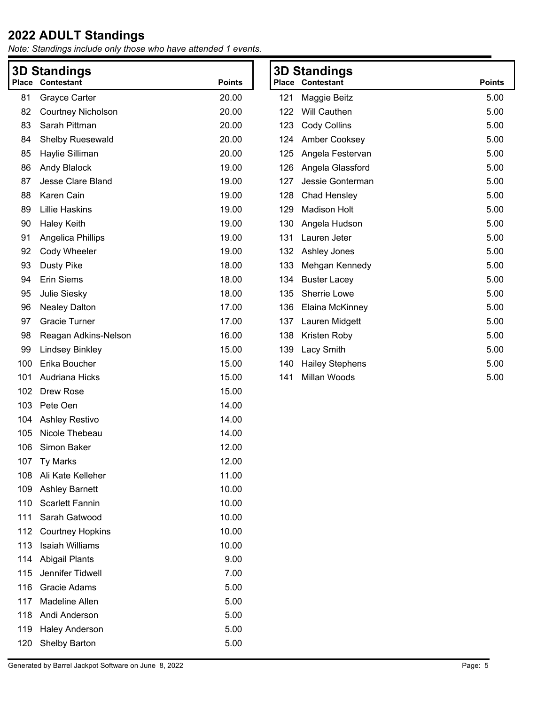| <b>3D Standings</b><br>Place Contestant<br><b>Points</b> |                           | <b>3D Standings</b><br><b>Place Contestant</b> |     | <b>Points</b>          |      |
|----------------------------------------------------------|---------------------------|------------------------------------------------|-----|------------------------|------|
| 81                                                       | Grayce Carter             | 20.00                                          | 121 | Maggie Beitz           | 5.00 |
| 82                                                       | <b>Courtney Nicholson</b> | 20.00                                          | 122 | Will Cauthen           | 5.00 |
| 83                                                       | Sarah Pittman             | 20.00                                          | 123 | <b>Cody Collins</b>    | 5.00 |
| 84                                                       | <b>Shelby Ruesewald</b>   | 20.00                                          | 124 | Amber Cooksey          | 5.00 |
| 85                                                       | Haylie Silliman           | 20.00                                          | 125 | Angela Festervan       | 5.00 |
| 86                                                       | Andy Blalock              | 19.00                                          | 126 | Angela Glassford       | 5.00 |
| 87                                                       | Jesse Clare Bland         | 19.00                                          | 127 | Jessie Gonterman       | 5.00 |
| 88                                                       | Karen Cain                | 19.00                                          | 128 | Chad Hensley           | 5.00 |
| 89                                                       | <b>Lillie Haskins</b>     | 19.00                                          | 129 | <b>Madison Holt</b>    | 5.00 |
| 90                                                       | <b>Haley Keith</b>        | 19.00                                          | 130 | Angela Hudson          | 5.00 |
| 91                                                       | Angelica Phillips         | 19.00                                          | 131 | Lauren Jeter           | 5.00 |
| 92                                                       | Cody Wheeler              | 19.00                                          | 132 | Ashley Jones           | 5.00 |
| 93                                                       | <b>Dusty Pike</b>         | 18.00                                          | 133 | Mehgan Kennedy         | 5.00 |
| 94                                                       | <b>Erin Siems</b>         | 18.00                                          | 134 | <b>Buster Lacey</b>    | 5.00 |
| 95                                                       | Julie Siesky              | 18.00                                          | 135 | Sherrie Lowe           | 5.00 |
| 96                                                       | <b>Nealey Dalton</b>      | 17.00                                          | 136 | Elaina McKinney        | 5.00 |
| 97                                                       | <b>Gracie Turner</b>      | 17.00                                          | 137 | Lauren Midgett         | 5.00 |
| 98                                                       | Reagan Adkins-Nelson      | 16.00                                          | 138 | Kristen Roby           | 5.00 |
| 99                                                       | <b>Lindsey Binkley</b>    | 15.00                                          | 139 | Lacy Smith             | 5.00 |
| 100                                                      | Erika Boucher             | 15.00                                          | 140 | <b>Hailey Stephens</b> | 5.00 |
| 101                                                      | Audriana Hicks            | 15.00                                          | 141 | Millan Woods           | 5.00 |
| 102                                                      | Drew Rose                 | 15.00                                          |     |                        |      |
| 103                                                      | Pete Oen                  | 14.00                                          |     |                        |      |
| 104                                                      | Ashley Restivo            | 14.00                                          |     |                        |      |
| 105                                                      | Nicole Thebeau            | 14.00                                          |     |                        |      |
| 106                                                      | Simon Baker               | 12.00                                          |     |                        |      |
| 107                                                      | <b>Ty Marks</b>           | 12.00                                          |     |                        |      |
| 108                                                      | Ali Kate Kelleher         | 11.00                                          |     |                        |      |
| 109                                                      | <b>Ashley Barnett</b>     | 10.00                                          |     |                        |      |
| 110                                                      | <b>Scarlett Fannin</b>    | 10.00                                          |     |                        |      |
| 111                                                      | Sarah Gatwood             | 10.00                                          |     |                        |      |
| 112                                                      | <b>Courtney Hopkins</b>   | 10.00                                          |     |                        |      |
| 113                                                      | <b>Isaiah Williams</b>    | 10.00                                          |     |                        |      |
| 114                                                      | <b>Abigail Plants</b>     | 9.00                                           |     |                        |      |
| 115                                                      | Jennifer Tidwell          | 7.00                                           |     |                        |      |
| 116                                                      | Gracie Adams              | 5.00                                           |     |                        |      |
| 117                                                      | Madeline Allen            | 5.00                                           |     |                        |      |
| 118                                                      | Andi Anderson             | 5.00                                           |     |                        |      |
| 119                                                      | <b>Haley Anderson</b>     | 5.00                                           |     |                        |      |
| 120                                                      | Shelby Barton             | 5.00                                           |     |                        |      |